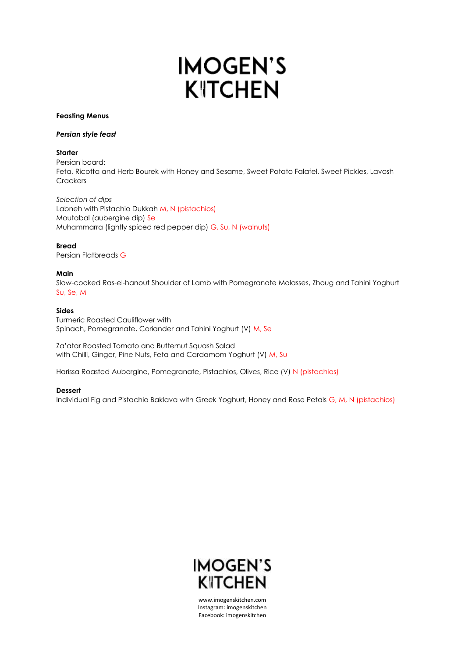# **IMOGEN'S KITCHEN**

## **Feasting Menus**

#### *Persian style feast*

# **Starter**

Persian board: Feta, Ricotta and Herb Bourek with Honey and Sesame, Sweet Potato Falafel, Sweet Pickles, Lavosh **Crackers** 

*Selection of dips*  Labneh with Pistachio Dukkah M, N (pistachios) Moutabal (aubergine dip) Se Muhammarra (lightly spiced red pepper dip) G, Su, N (walnuts)

# **Bread**

Persian Flatbreads G

# **Main**

Slow-cooked Ras-el-hanout Shoulder of Lamb with Pomegranate Molasses, Zhoug and Tahini Yoghurt Su, Se, M

# **Sides**

Turmeric Roasted Cauliflower with Spinach, Pomegranate, Coriander and Tahini Yoghurt (V) M, Se

Za'atar Roasted Tomato and Butternut Squash Salad with Chilli, Ginger, Pine Nuts, Feta and Cardamom Yoghurt (V) M, Su

Harissa Roasted Aubergine, Pomegranate, Pistachios, Olives, Rice (V) N (pistachios)

# **Dessert**

Individual Fig and Pistachio Baklava with Greek Yoghurt, Honey and Rose Petals G, M, N (pistachios)



www.imogenskitchen.com Instagram: imogenskitchen Facebook: imogenskitchen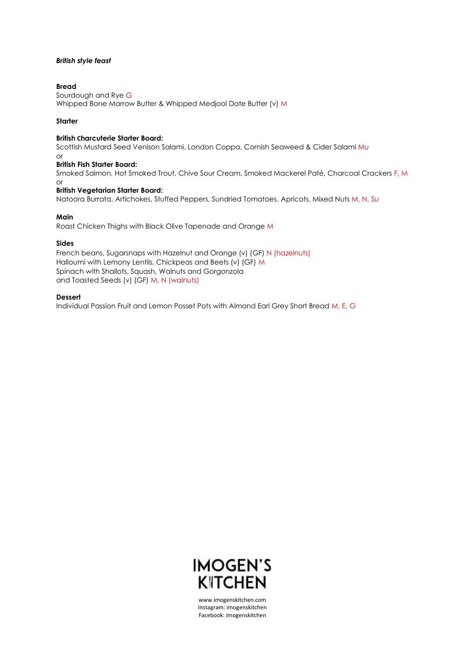## *British style feast*

#### **Bread**

Sourdough and Rye G Whipped Bone Marrow Butter & Whipped Medjool Date Butter (v) M

#### **Starter**

#### **British Charcuterie Starter Board:**

Scottish Mustard Seed Venison Salami, London Coppa, Cornish Seaweed & Cider Salami Mu or

# **British Fish Starter Board:**

Smoked Salmon, Hot Smoked Trout, Chive Sour Cream, Smoked Mackerel Paté, Charcoal Crackers F, M or

## **British Vegetarian Starter Board:**

Natoora Burrata, Artichokes, Stuffed Peppers, Sundried Tomatoes, Apricots, Mixed Nuts M, N, Su

## **Main**

Roast Chicken Thighs with Black Olive Tapenade and Orange M

#### **Sides**

French beans, Sugarsnaps with Hazelnut and Orange (v) (GF) N (hazelnuts) Halloumi with Lemony Lentils, Chickpeas and Beets (v) (GF) M Spinach with Shallots, Squash, Walnuts and Gorgonzola and Toasted Seeds (v) (GF) M, N (walnuts)

#### **Dessert**

Individual Passion Fruit and Lemon Posset Pots with Almond Earl Grey Short Bread M, E, G



www.imogenskitchen.com Instagram: imogenskitchen Facebook: imogenskitchen